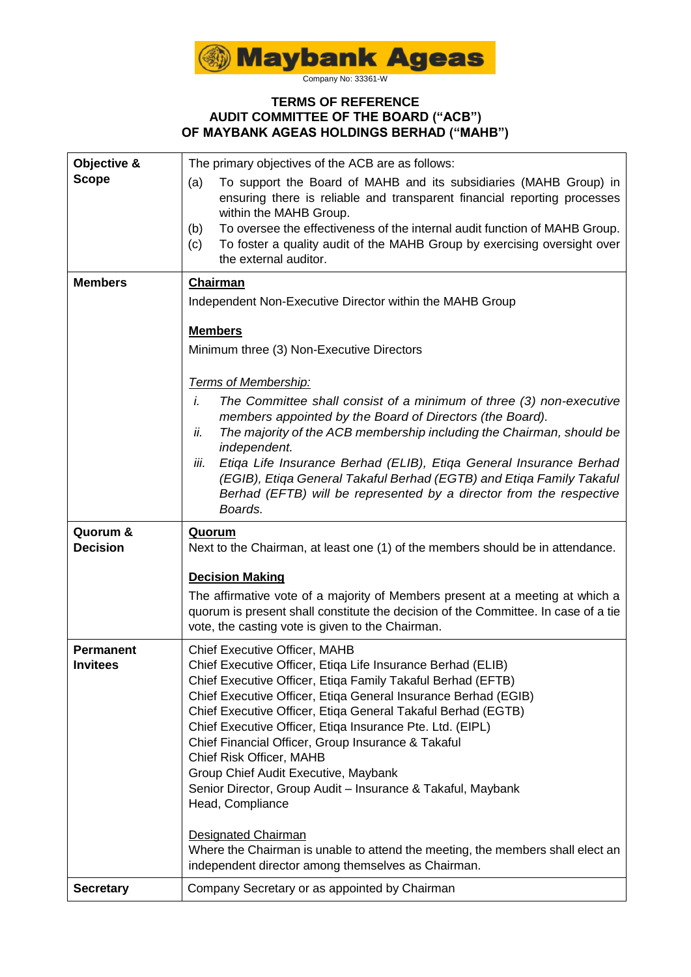

Company No: 33361-W

| Objective &      | The primary objectives of the ACB are as follows:                                                                                                                                                                                    |
|------------------|--------------------------------------------------------------------------------------------------------------------------------------------------------------------------------------------------------------------------------------|
| <b>Scope</b>     | To support the Board of MAHB and its subsidiaries (MAHB Group) in<br>(a)<br>ensuring there is reliable and transparent financial reporting processes                                                                                 |
|                  | within the MAHB Group.<br>To oversee the effectiveness of the internal audit function of MAHB Group.<br>(b)<br>To foster a quality audit of the MAHB Group by exercising oversight over<br>(c)<br>the external auditor.              |
| <b>Members</b>   | <b>Chairman</b>                                                                                                                                                                                                                      |
|                  | Independent Non-Executive Director within the MAHB Group                                                                                                                                                                             |
|                  | <b>Members</b>                                                                                                                                                                                                                       |
|                  | Minimum three (3) Non-Executive Directors                                                                                                                                                                                            |
|                  | Terms of Membership:                                                                                                                                                                                                                 |
|                  | i.<br>The Committee shall consist of a minimum of three (3) non-executive<br>members appointed by the Board of Directors (the Board).<br>The majority of the ACB membership including the Chairman, should be<br>ii.<br>independent. |
|                  | Etiga Life Insurance Berhad (ELIB), Etiga General Insurance Berhad<br>iii.<br>(EGIB), Etiqa General Takaful Berhad (EGTB) and Etiqa Family Takaful<br>Berhad (EFTB) will be represented by a director from the respective<br>Boards. |
| Quorum &         | Quorum                                                                                                                                                                                                                               |
| <b>Decision</b>  | Next to the Chairman, at least one (1) of the members should be in attendance.                                                                                                                                                       |
|                  | <b>Decision Making</b>                                                                                                                                                                                                               |
|                  | The affirmative vote of a majority of Members present at a meeting at which a<br>quorum is present shall constitute the decision of the Committee. In case of a tie<br>vote, the casting vote is given to the Chairman.              |
| <b>Permanent</b> |                                                                                                                                                                                                                                      |
|                  | Chief Executive Officer, MAHB                                                                                                                                                                                                        |
| <b>Invitees</b>  | Chief Executive Officer, Etiqa Life Insurance Berhad (ELIB)                                                                                                                                                                          |
|                  | Chief Executive Officer, Etiqa Family Takaful Berhad (EFTB)                                                                                                                                                                          |
|                  | Chief Executive Officer, Etiqa General Insurance Berhad (EGIB)<br>Chief Executive Officer, Etiqa General Takaful Berhad (EGTB)                                                                                                       |
|                  | Chief Executive Officer, Etiqa Insurance Pte. Ltd. (EIPL)                                                                                                                                                                            |
|                  | Chief Financial Officer, Group Insurance & Takaful                                                                                                                                                                                   |
|                  | Chief Risk Officer, MAHB                                                                                                                                                                                                             |
|                  | Group Chief Audit Executive, Maybank                                                                                                                                                                                                 |
|                  | Senior Director, Group Audit - Insurance & Takaful, Maybank<br>Head, Compliance                                                                                                                                                      |
|                  | <b>Designated Chairman</b>                                                                                                                                                                                                           |
|                  | Where the Chairman is unable to attend the meeting, the members shall elect an<br>independent director among themselves as Chairman.                                                                                                 |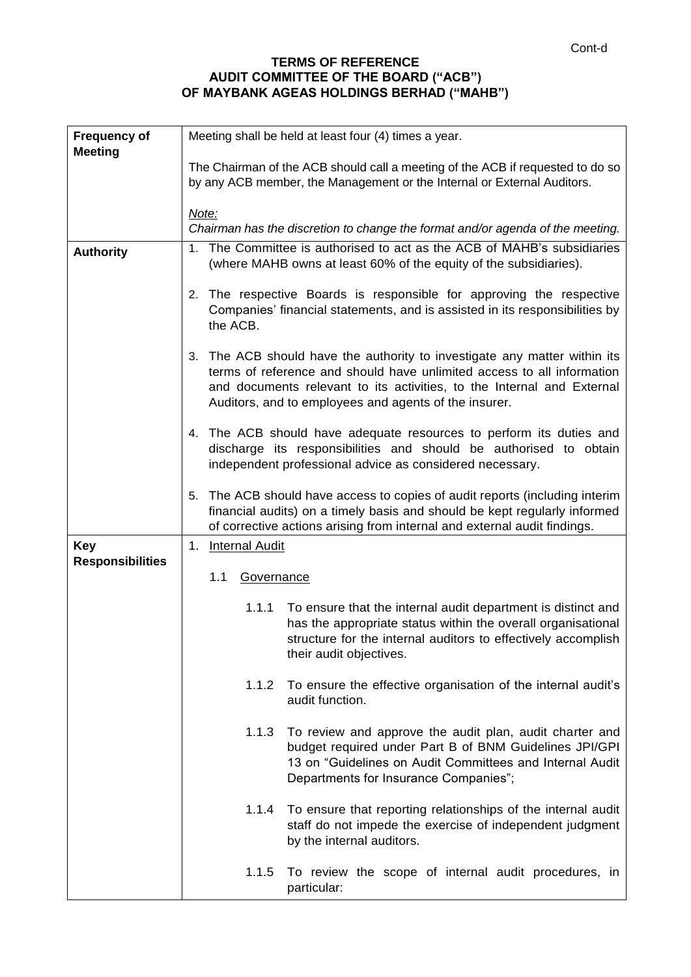| <b>Frequency of</b>                   | Meeting shall be held at least four (4) times a year.                                                                                                                                                                                                                                  |  |  |  |  |  |  |
|---------------------------------------|----------------------------------------------------------------------------------------------------------------------------------------------------------------------------------------------------------------------------------------------------------------------------------------|--|--|--|--|--|--|
| <b>Meeting</b>                        | The Chairman of the ACB should call a meeting of the ACB if requested to do so                                                                                                                                                                                                         |  |  |  |  |  |  |
|                                       | by any ACB member, the Management or the Internal or External Auditors.                                                                                                                                                                                                                |  |  |  |  |  |  |
|                                       | Note:                                                                                                                                                                                                                                                                                  |  |  |  |  |  |  |
|                                       | Chairman has the discretion to change the format and/or agenda of the meeting.                                                                                                                                                                                                         |  |  |  |  |  |  |
| <b>Authority</b>                      | 1. The Committee is authorised to act as the ACB of MAHB's subsidiaries<br>(where MAHB owns at least 60% of the equity of the subsidiaries).                                                                                                                                           |  |  |  |  |  |  |
|                                       | 2. The respective Boards is responsible for approving the respective<br>Companies' financial statements, and is assisted in its responsibilities by<br>the ACB.                                                                                                                        |  |  |  |  |  |  |
|                                       | 3. The ACB should have the authority to investigate any matter within its<br>terms of reference and should have unlimited access to all information<br>and documents relevant to its activities, to the Internal and External<br>Auditors, and to employees and agents of the insurer. |  |  |  |  |  |  |
|                                       | 4. The ACB should have adequate resources to perform its duties and<br>discharge its responsibilities and should be authorised to obtain<br>independent professional advice as considered necessary.                                                                                   |  |  |  |  |  |  |
|                                       | 5. The ACB should have access to copies of audit reports (including interim<br>financial audits) on a timely basis and should be kept regularly informed<br>of corrective actions arising from internal and external audit findings.                                                   |  |  |  |  |  |  |
| <b>Key</b><br><b>Responsibilities</b> | <b>Internal Audit</b><br>1 <sub>1</sub>                                                                                                                                                                                                                                                |  |  |  |  |  |  |
|                                       | 1.1<br>Governance                                                                                                                                                                                                                                                                      |  |  |  |  |  |  |
|                                       | To ensure that the internal audit department is distinct and<br>1.1.1<br>has the appropriate status within the overall organisational<br>structure for the internal auditors to effectively accomplish<br>their audit objectives.                                                      |  |  |  |  |  |  |
|                                       | To ensure the effective organisation of the internal audit's<br>1.1.2<br>audit function.                                                                                                                                                                                               |  |  |  |  |  |  |
|                                       | 1.1.3<br>To review and approve the audit plan, audit charter and<br>budget required under Part B of BNM Guidelines JPI/GPI<br>13 on "Guidelines on Audit Committees and Internal Audit<br>Departments for Insurance Companies";                                                        |  |  |  |  |  |  |
|                                       | 1.1.4<br>To ensure that reporting relationships of the internal audit<br>staff do not impede the exercise of independent judgment<br>by the internal auditors.                                                                                                                         |  |  |  |  |  |  |
|                                       | 1.1.5<br>To review the scope of internal audit procedures, in<br>particular:                                                                                                                                                                                                           |  |  |  |  |  |  |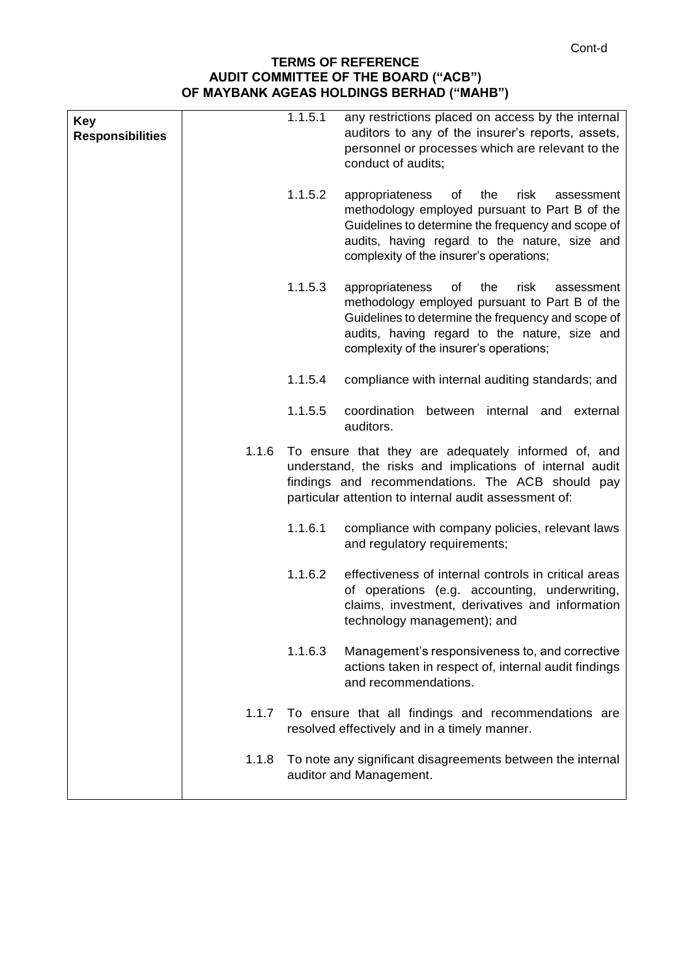| <b>Key</b><br><b>Responsibilities</b> |       | 1.1.5.1 | any restrictions placed on access by the internal<br>auditors to any of the insurer's reports, assets,<br>personnel or processes which are relevant to the<br>conduct of audits;                                                                       |
|---------------------------------------|-------|---------|--------------------------------------------------------------------------------------------------------------------------------------------------------------------------------------------------------------------------------------------------------|
|                                       |       | 1.1.5.2 | appropriateness<br>the<br>risk<br>οf<br>assessment<br>methodology employed pursuant to Part B of the<br>Guidelines to determine the frequency and scope of<br>audits, having regard to the nature, size and<br>complexity of the insurer's operations; |
|                                       |       | 1.1.5.3 | appropriateness<br>of<br>the<br>risk<br>assessment<br>methodology employed pursuant to Part B of the<br>Guidelines to determine the frequency and scope of<br>audits, having regard to the nature, size and<br>complexity of the insurer's operations; |
|                                       |       | 1.1.5.4 | compliance with internal auditing standards; and                                                                                                                                                                                                       |
|                                       |       | 1.1.5.5 | coordination<br>between<br>internal and<br>external<br>auditors.                                                                                                                                                                                       |
|                                       | 1.1.6 |         | To ensure that they are adequately informed of, and<br>understand, the risks and implications of internal audit<br>findings and recommendations. The ACB should pay<br>particular attention to internal audit assessment of:                           |
|                                       |       | 1.1.6.1 | compliance with company policies, relevant laws<br>and regulatory requirements;                                                                                                                                                                        |
|                                       |       | 1.1.6.2 | effectiveness of internal controls in critical areas<br>of operations (e.g. accounting, underwriting,<br>claims, investment, derivatives and information<br>technology management); and                                                                |
|                                       |       | 1.1.6.3 | Management's responsiveness to, and corrective<br>actions taken in respect of, internal audit findings<br>and recommendations.                                                                                                                         |
|                                       | 1.1.7 |         | To ensure that all findings and recommendations are<br>resolved effectively and in a timely manner.                                                                                                                                                    |
|                                       | 1.1.8 |         | To note any significant disagreements between the internal<br>auditor and Management.                                                                                                                                                                  |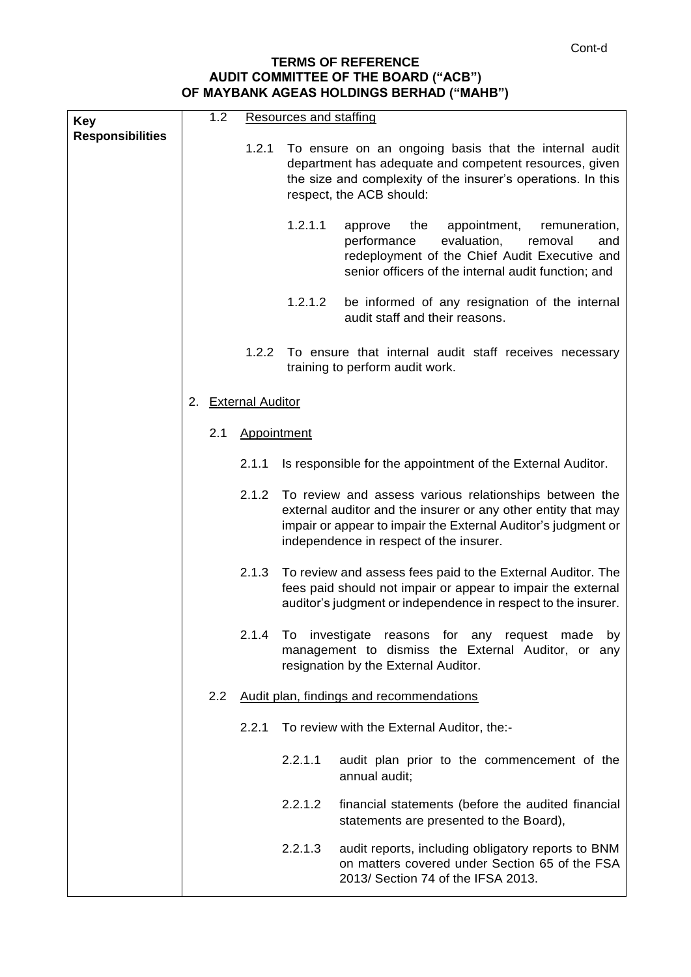| <b>Key</b>              |    | 1.2              |                         | <b>Resources and staffing</b> |                                                                                                                                                                                                                                     |
|-------------------------|----|------------------|-------------------------|-------------------------------|-------------------------------------------------------------------------------------------------------------------------------------------------------------------------------------------------------------------------------------|
| <b>Responsibilities</b> |    |                  | 1.2.1                   |                               | To ensure on an ongoing basis that the internal audit<br>department has adequate and competent resources, given<br>the size and complexity of the insurer's operations. In this<br>respect, the ACB should:                         |
|                         |    |                  |                         | 1.2.1.1                       | appointment,<br>approve<br>the<br>remuneration,<br>evaluation,<br>performance<br>removal<br>and<br>redeployment of the Chief Audit Executive and<br>senior officers of the internal audit function; and                             |
|                         |    |                  |                         | 1.2.1.2                       | be informed of any resignation of the internal<br>audit staff and their reasons.                                                                                                                                                    |
|                         |    |                  | 1.2.2                   |                               | To ensure that internal audit staff receives necessary<br>training to perform audit work.                                                                                                                                           |
|                         | 2. |                  | <b>External Auditor</b> |                               |                                                                                                                                                                                                                                     |
|                         |    | 2.1              | Appointment             |                               |                                                                                                                                                                                                                                     |
|                         |    |                  | 2.1.1                   |                               | Is responsible for the appointment of the External Auditor.                                                                                                                                                                         |
|                         |    |                  | 2.1.2                   |                               | To review and assess various relationships between the<br>external auditor and the insurer or any other entity that may<br>impair or appear to impair the External Auditor's judgment or<br>independence in respect of the insurer. |
|                         |    |                  | 2.1.3                   |                               | To review and assess fees paid to the External Auditor. The<br>fees paid should not impair or appear to impair the external<br>auditor's judgment or independence in respect to the insurer.                                        |
|                         |    |                  | 2.1.4                   |                               | To investigate reasons for any request made by<br>management to dismiss the External Auditor, or any<br>resignation by the External Auditor.                                                                                        |
|                         |    | 2.2 <sub>2</sub> |                         |                               | Audit plan, findings and recommendations                                                                                                                                                                                            |
|                         |    |                  | 2.2.1                   |                               | To review with the External Auditor, the:-                                                                                                                                                                                          |
|                         |    |                  |                         | 2.2.1.1                       | audit plan prior to the commencement of the<br>annual audit;                                                                                                                                                                        |
|                         |    |                  |                         | 2.2.1.2                       | financial statements (before the audited financial<br>statements are presented to the Board),                                                                                                                                       |
|                         |    |                  |                         | 2.2.1.3                       | audit reports, including obligatory reports to BNM<br>on matters covered under Section 65 of the FSA<br>2013/ Section 74 of the IFSA 2013.                                                                                          |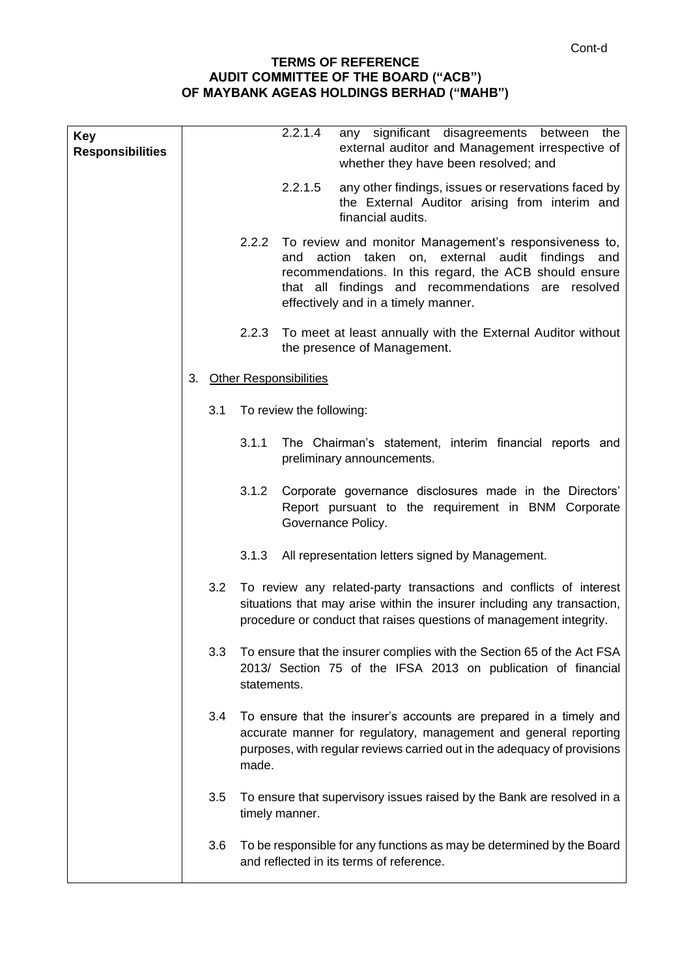| <b>Key</b><br><b>Responsibilities</b> |    |     |             | 2.2.1.4<br>any significant disagreements<br>between<br>the<br>external auditor and Management irrespective of                                                                                                                                                          |
|---------------------------------------|----|-----|-------------|------------------------------------------------------------------------------------------------------------------------------------------------------------------------------------------------------------------------------------------------------------------------|
|                                       |    |     |             | whether they have been resolved; and                                                                                                                                                                                                                                   |
|                                       |    |     |             | 2.2.1.5<br>any other findings, issues or reservations faced by<br>the External Auditor arising from interim and<br>financial audits.                                                                                                                                   |
|                                       |    |     |             | 2.2.2 To review and monitor Management's responsiveness to,<br>and action taken on, external audit findings and<br>recommendations. In this regard, the ACB should ensure<br>that all findings and recommendations are resolved<br>effectively and in a timely manner. |
|                                       |    |     | 2.2.3       | To meet at least annually with the External Auditor without<br>the presence of Management.                                                                                                                                                                             |
|                                       | 3. |     |             | <b>Other Responsibilities</b>                                                                                                                                                                                                                                          |
|                                       |    | 3.1 |             | To review the following:                                                                                                                                                                                                                                               |
|                                       |    |     | 3.1.1       | The Chairman's statement, interim financial reports and<br>preliminary announcements.                                                                                                                                                                                  |
|                                       |    |     | 3.1.2       | Corporate governance disclosures made in the Directors'<br>Report pursuant to the requirement in BNM Corporate<br>Governance Policy.                                                                                                                                   |
|                                       |    |     | 3.1.3       | All representation letters signed by Management.                                                                                                                                                                                                                       |
|                                       |    | 3.2 |             | To review any related-party transactions and conflicts of interest<br>situations that may arise within the insurer including any transaction,<br>procedure or conduct that raises questions of management integrity.                                                   |
|                                       |    | 3.3 | statements. | To ensure that the insurer complies with the Section 65 of the Act FSA<br>2013/ Section 75 of the IFSA 2013 on publication of financial                                                                                                                                |
|                                       |    | 3.4 | made.       | To ensure that the insurer's accounts are prepared in a timely and<br>accurate manner for regulatory, management and general reporting<br>purposes, with regular reviews carried out in the adequacy of provisions                                                     |
|                                       |    | 3.5 |             | To ensure that supervisory issues raised by the Bank are resolved in a<br>timely manner.                                                                                                                                                                               |
|                                       |    | 3.6 |             | To be responsible for any functions as may be determined by the Board<br>and reflected in its terms of reference.                                                                                                                                                      |